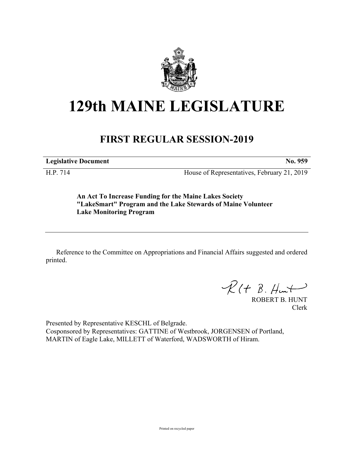

## **129th MAINE LEGISLATURE**

## **FIRST REGULAR SESSION-2019**

**Legislative Document No. 959**

H.P. 714 House of Representatives, February 21, 2019

**An Act To Increase Funding for the Maine Lakes Society "LakeSmart" Program and the Lake Stewards of Maine Volunteer Lake Monitoring Program**

Reference to the Committee on Appropriations and Financial Affairs suggested and ordered printed.

 $R(H B. H<sub>un</sub>+)$ 

ROBERT B. HUNT Clerk

Presented by Representative KESCHL of Belgrade. Cosponsored by Representatives: GATTINE of Westbrook, JORGENSEN of Portland, MARTIN of Eagle Lake, MILLETT of Waterford, WADSWORTH of Hiram.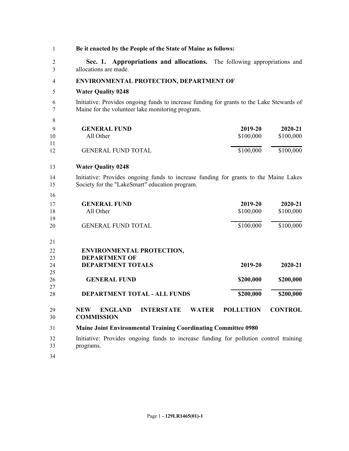| 1                   | Be it enacted by the People of the State of Maine as follows:                                                                                 |                      |                      |  |  |
|---------------------|-----------------------------------------------------------------------------------------------------------------------------------------------|----------------------|----------------------|--|--|
| $\overline{2}$<br>3 | Sec. 1. Appropriations and allocations. The following appropriations and<br>allocations are made.                                             |                      |                      |  |  |
| 4                   | ENVIRONMENTAL PROTECTION, DEPARTMENT OF                                                                                                       |                      |                      |  |  |
| 5                   | <b>Water Quality 0248</b>                                                                                                                     |                      |                      |  |  |
| 6<br>7              | Initiative: Provides ongoing funds to increase funding for grants to the Lake Stewards of<br>Maine for the volunteer lake monitoring program. |                      |                      |  |  |
| 8                   |                                                                                                                                               |                      |                      |  |  |
| 9<br>10<br>11       | <b>GENERAL FUND</b><br>All Other                                                                                                              | 2019-20<br>\$100,000 | 2020-21<br>\$100,000 |  |  |
| 12                  | <b>GENERAL FUND TOTAL</b>                                                                                                                     | \$100,000            | \$100,000            |  |  |
| 13                  | <b>Water Quality 0248</b>                                                                                                                     |                      |                      |  |  |
| 14<br>15            | Initiative: Provides ongoing funds to increase funding for grants to the Maine Lakes<br>Society for the "LakeSmart" education program.        |                      |                      |  |  |
| 16                  |                                                                                                                                               |                      |                      |  |  |
| 17<br>18            | <b>GENERAL FUND</b><br>All Other                                                                                                              | 2019-20<br>\$100,000 | 2020-21<br>\$100,000 |  |  |
| 19<br>20            | <b>GENERAL FUND TOTAL</b>                                                                                                                     | \$100,000            | \$100,000            |  |  |
| 21                  |                                                                                                                                               |                      |                      |  |  |
| 22                  | <b>ENVIRONMENTAL PROTECTION,</b>                                                                                                              |                      |                      |  |  |
| 23                  | <b>DEPARTMENT OF</b>                                                                                                                          |                      |                      |  |  |
| 24                  | <b>DEPARTMENT TOTALS</b>                                                                                                                      | 2019-20              | 2020-21              |  |  |
| 25                  | <b>GENERAL FUND</b>                                                                                                                           |                      |                      |  |  |
| 26<br>27            |                                                                                                                                               | \$200,000            | \$200,000            |  |  |
| 28                  | <b>DEPARTMENT TOTAL - ALL FUNDS</b>                                                                                                           | \$200,000            | \$200,000            |  |  |
| 29<br>30            | <b>NEW</b><br><b>ENGLAND</b><br><b>INTERSTATE</b><br><b>WATER</b><br><b>COMMISSION</b>                                                        | <b>POLLUTION</b>     | <b>CONTROL</b>       |  |  |
| 31                  | <b>Maine Joint Environmental Training Coordinating Committee 0980</b>                                                                         |                      |                      |  |  |
| 32<br>33            | Initiative: Provides ongoing funds to increase funding for pollution control training<br>programs.                                            |                      |                      |  |  |
| 34                  |                                                                                                                                               |                      |                      |  |  |